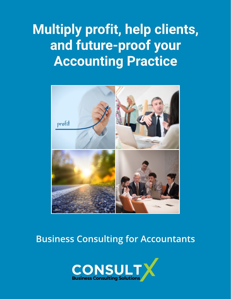### Multiply profit, help clients, and future-proof your Accounting Practice



### Business Consulting for Accountants

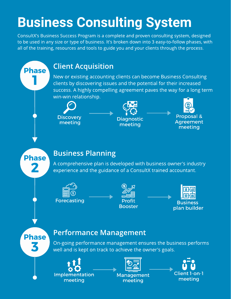# Business Consulting System

ConsultX's Business Success Program is a complete and proven consulting system, designed to be used in any size or type of business. It's broken down into 3 easy-to-follow phases, with all of the training, resources and tools to guide you and your clients through the process.

#### Client Acquisition

New or existing accounting clients can become Business Consulting clients by discovering issues and the potential for their increased success. A highly compelling agreement paves the way for a long term win-win relationship.





Proposal & **Agreement** meeting

**Phase** 

**Phase** 

#### Business Planning

A comprehensive plan is developed with business owner's industry experience and the guidance of a ConsultX trained accountant.







**Phase** 

#### Performance Management

On-going performance management ensures the business performs well and is kept on track to achieve the owner's goals.





Management meeting

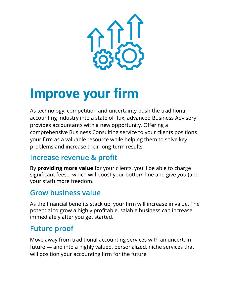

# Improve your firm

As technology, competition and uncertainty push the traditional accounting industry into a state of flux, advanced Business Advisory provides accountants with a new opportunity. Offering a comprehensive Business Consulting service to your clients positions your firm as a valuable resource while helping them to solve key problems and increase their long-term results.

#### Increase revenue & profit

By **providing more value** for your clients, you'll be able to charge significant fees... which will boost your bottom line and give you (and your staff) more freedom.

#### Grow business value

As the financial benefits stack up, your firm will increase in value. The potential to grow a highly profitable, salable business can increase immediately after you get started.

#### Future proof

Move away from traditional accounting services with an uncertain future – and into a highly valued, personalized, niche services that will position your accounting firm for the future.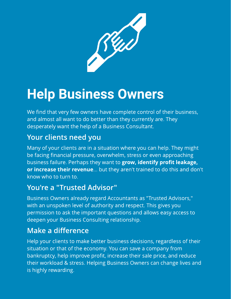

### Help Business Owners

We find that very few owners have complete control of their business, and almost all want to do better than they currently are. They desperately want the help of a Business Consultant.

#### Your clients need you

Many of your clients are in a situation where you can help. They might be facing financial pressure, overwhelm, stress or even approaching business failure. Perhaps they want to grow, identify profit leakage, or increase their revenue... but they aren't trained to do this and don't know who to turn to.

#### You're a "Trusted Advisor"

Business Owners already regard Accountants as "Trusted Advisors," with an unspoken level of authority and respect. This gives you permission to ask the important questions and allows easy access to deepen your Business Consulting relationship.

#### Make a difference

Help your clients to make better business decisions, regardless of their situation or that of the economy. You can save a company from bankruptcy, help improve profit, increase their sale price, and reduce their workload & stress. Helping Business Owners can change lives and is highly rewarding.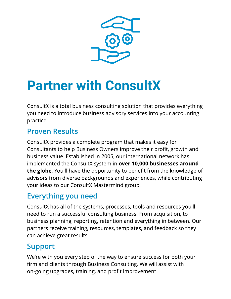

# Partner with ConsultX

ConsultX is a total business consulting solution that provides everything you need to introduce business advisory services into your accounting practice.

#### Proven Results

ConsultX provides a complete program that makes it easy for Consultants to help Business Owners improve their profit, growth and business value. Established in 2005, our international network has implemented the ConsultX system in over 10,000 businesses around the globe. You'll have the opportunity to benefit from the knowledge of advisors from diverse backgrounds and experiences, while contributing your ideas to our ConsultX Mastermind group.

#### Everything you need

ConsultX has all of the systems, processes, tools and resources you'll need to run a successful consulting business: From acquisition, to business planning, reporting, retention and everything in between. Our partners receive training, resources, templates, and feedback so they can achieve great results.

#### Support

We're with you every step of the way to ensure success for both your firm and clients through Business Consulting. We will assist with on-going upgrades, training, and profit improvement.